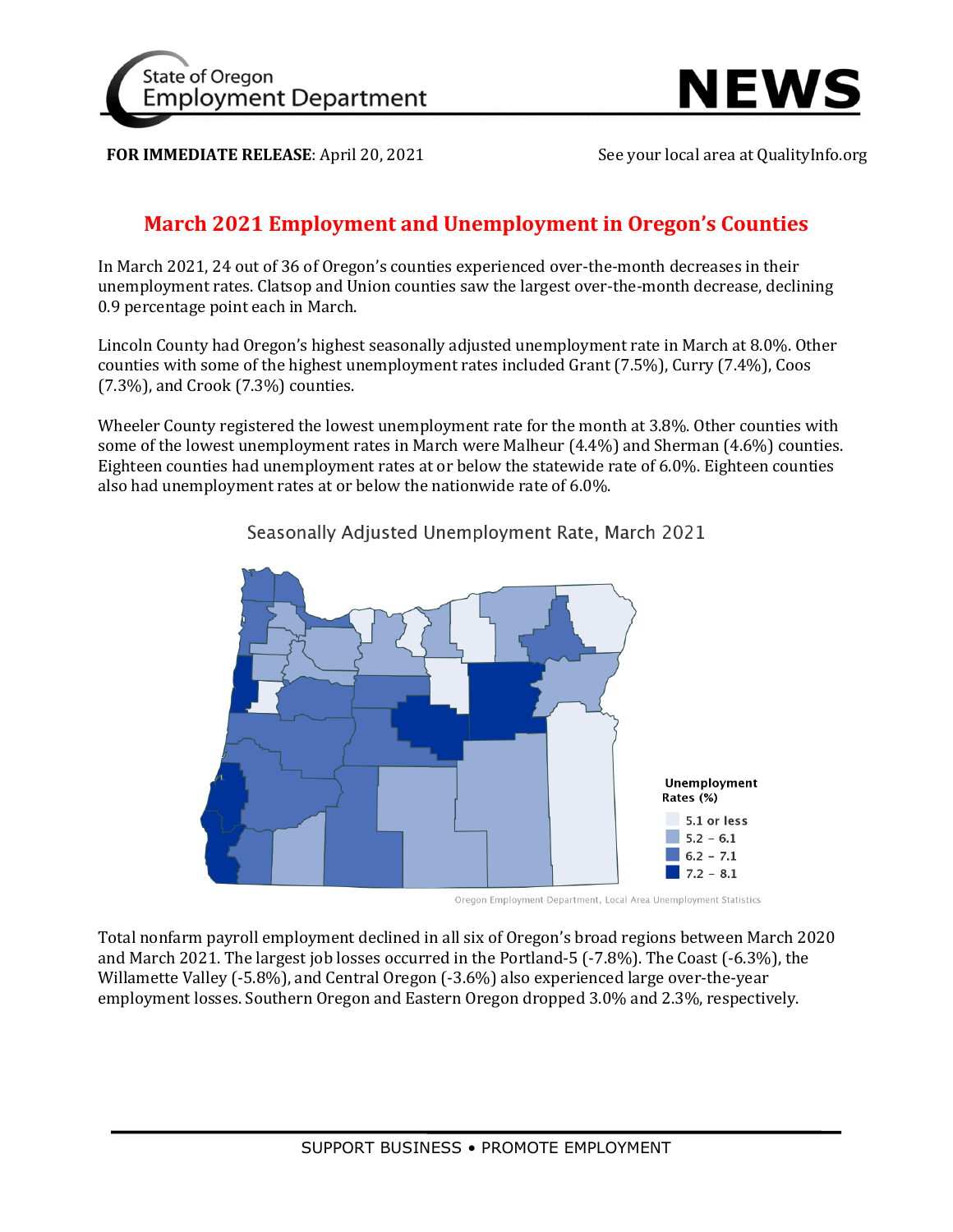



**FOR IMMEDIATE RELEASE:** April 20, 2021 See your local area at QualityInfo.org

## **March 2021 Employment and Unemployment in Oregon's Counties**

In March 2021, 24 out of 36 of Oregon's counties experienced over-the-month decreases in their unemployment rates. Clatsop and Union counties saw the largest over-the-month decrease, declining 0.9 percentage point each in March.

Lincoln County had Oregon's highest seasonally adjusted unemployment rate in March at 8.0%. Other counties with some of the highest unemployment rates included Grant (7.5%), Curry (7.4%), Coos (7.3%), and Crook (7.3%) counties.

Wheeler County registered the lowest unemployment rate for the month at 3.8%. Other counties with some of the lowest unemployment rates in March were Malheur (4.4%) and Sherman (4.6%) counties. Eighteen counties had unemployment rates at or below the statewide rate of 6.0%. Eighteen counties also had unemployment rates at or below the nationwide rate of 6.0%.



Seasonally Adjusted Unemployment Rate, March 2021

Oregon Employment Department, Local Area Unemployment Statistics

Total nonfarm payroll employment declined in all six of Oregon's broad regions between March 2020 and March 2021. The largest job losses occurred in the Portland-5 (-7.8%). The Coast (-6.3%), the Willamette Valley (-5.8%), and Central Oregon (-3.6%) also experienced large over-the-year employment losses. Southern Oregon and Eastern Oregon dropped 3.0% and 2.3%, respectively.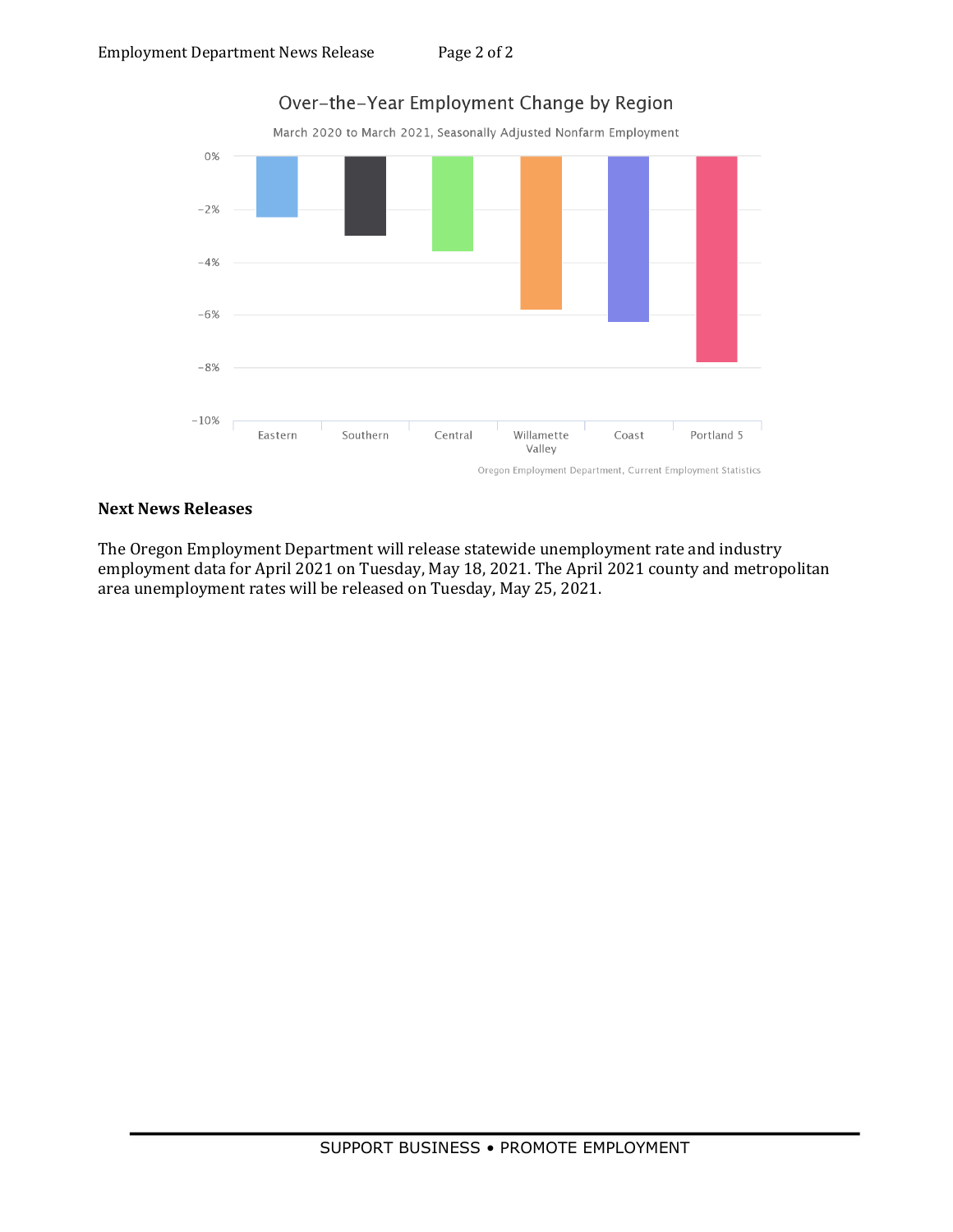

## **Next News Releases**

The Oregon Employment Department will release statewide unemployment rate and industry employment data for April 2021 on Tuesday, May 18, 2021. The April 2021 county and metropolitan area unemployment rates will be released on Tuesday, May 25, 2021.